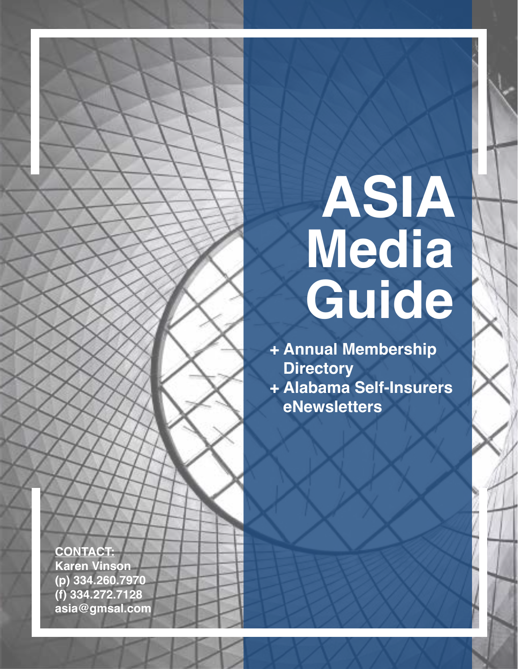## **ASIA Media Guide**

**+ Annual Membership Directory + Alabama Self-Insurers eNewsletters**

**CONTACT: Karen Vinson (p) 334.260.7970 (f) 334.272.7128 asia@gmsal.com**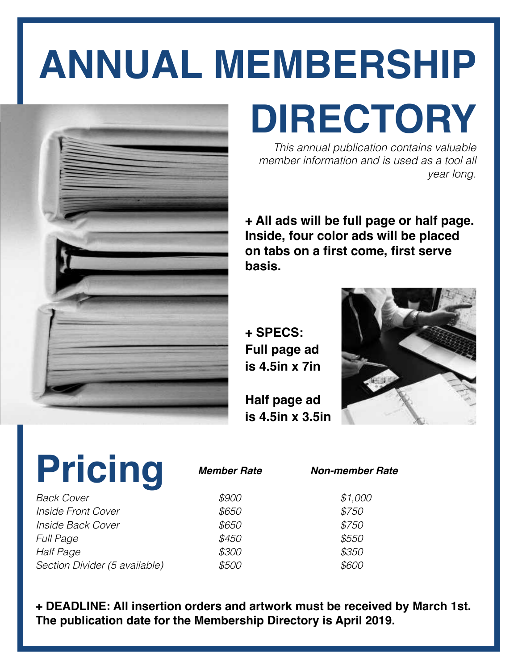## **ANNUAL MEMBERSHIP**



*This annual publication contains valuable member information and is used as a tool all year long.* 

**DIRECTORY**

**+ All ads will be full page or half page. Inside, four color ads will be placed on tabs on a first come, first serve basis.**

**+ SPECS: Full page ad is 4.5in x 7in**

**Half page ad is 4.5in x 3.5in**



## Pricing<br> *Member Rate*

Back Cover **\$900** \$1,000 *Inside Front Cover* \$650 \$750 *Inside Back Cover* \$650 \$750 *Full Page \$450 \$550 Half Page \$300 \$350 Section Divider (5 available) \$500 \$600*

*Member Rate Non-member Rate*

**+ DEADLINE: All insertion orders and artwork must be received by March 1st. The publication date for the Membership Directory is April 2019.**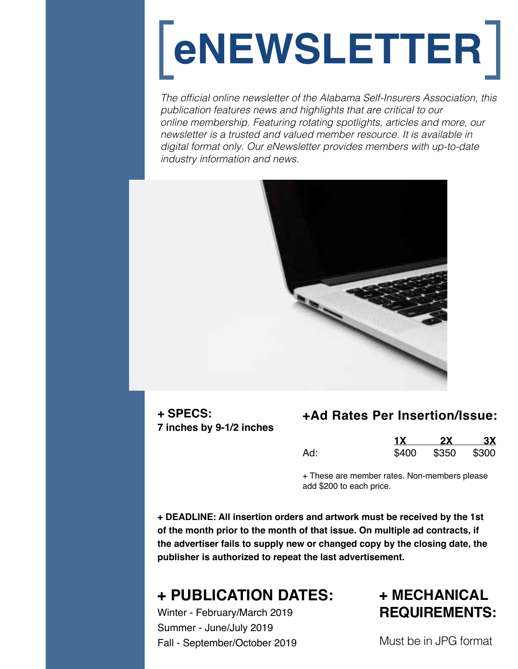# **eNEWSLETTER**

The official online newsletter of the Alabama Self-Insurers Association, this publication features news and highlights that are critical to our *online membership. Featuring rotating spotlights, articles and more, our*  newsletter is a trusted and valued member resource. It is available in digital format only. Our eNewsletter provides members with up-to-date industry information and news.



**+ SPECS: 7 inches by 9-1/2 inches**

#### **+Ad Rates Per Insertion/Issue:**

|     |       | 2X          | 3X |
|-----|-------|-------------|----|
| Ad: | \$400 | \$350 \$300 |    |

+ These are member rates. Non-members please add \$200 to each price.

**+ DEADLINE: All insertion orders and artwork must be received by the 1st of the month prior to the month of that issue. On multiple ad contracts, if the advertiser fails to supply new or changed copy by the closing date, the publisher is authorized to repeat the last advertisement.**

#### **+ PUBLICATION DATES:**

Winter - February/March 2019 Summer - June/July 2019 Fall - September/October 2019

#### **+ MECHANICAL REQUIREMENTS:**

Must be in JPG format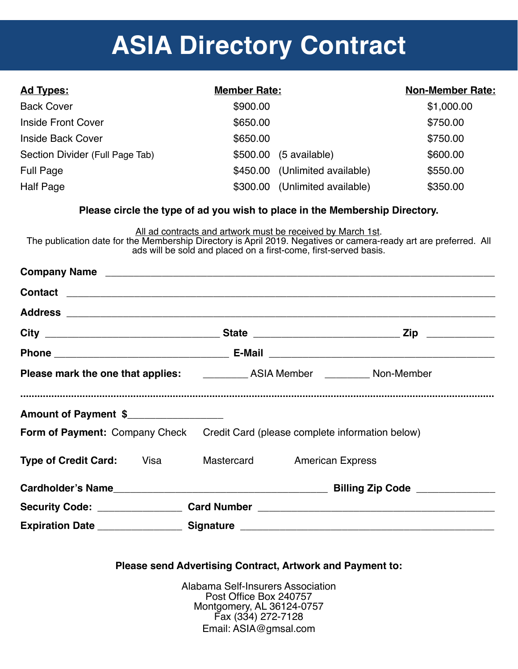### **ASIA Directory Contract**

| <b>Ad Types:</b>                | <b>Member Rate:</b> |                                | <b>Non-Member Rate:</b> |
|---------------------------------|---------------------|--------------------------------|-------------------------|
| <b>Back Cover</b>               | \$900.00            |                                | \$1,000.00              |
| <b>Inside Front Cover</b>       | \$650.00            |                                | \$750.00                |
| <b>Inside Back Cover</b>        | \$650.00            |                                | \$750.00                |
| Section Divider (Full Page Tab) | \$500.00            | (5 available)                  | \$600.00                |
| <b>Full Page</b>                |                     | \$450.00 (Unlimited available) | \$550.00                |
| Half Page                       |                     | \$300.00 (Unlimited available) | \$350.00                |

#### **Please circle the type of ad you wish to place in the Membership Directory.**

All ad contracts and artwork must be received by March 1st.

The publication date for the Membership Directory is April 2019. Negatives or camera-ready art are preferred. All ads will be sold and placed on a first-come, first-served basis.

| Amount of Payment \$                                                           |  |                                                                                   |
|--------------------------------------------------------------------------------|--|-----------------------------------------------------------------------------------|
| Form of Payment: Company Check Credit Card (please complete information below) |  |                                                                                   |
| <b>Type of Credit Card:</b> Visa Mastercard American Express                   |  |                                                                                   |
|                                                                                |  |                                                                                   |
|                                                                                |  | Security Code: ___________________Card Number __________________________________  |
|                                                                                |  | Expiration Date _______________________Signature ________________________________ |

#### **Please send Advertising Contract, Artwork and Payment to:**

Alabama Self-Insurers Association Post Office Box 240757 Montgomery, AL 36124-0757 Fax (334) 272-7128 Email: ASIA@gmsal.com